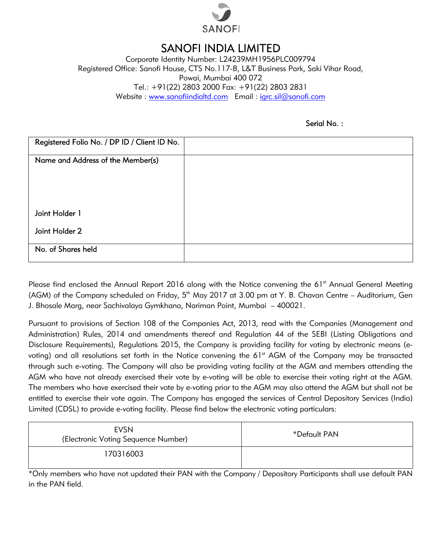

## SANOFI INDIA LIMITED LIMITED

Corporate Identity Number: L24239MH1956PLC009794 Registered Office: Sanofi House, CTS No.117-B, L&T Business Park, Saki Vihar Road, Tel.: +91(22) 2803 2000 Fax: +91(22) 2803 2831 Website : <u>www.sanofiindialtd.com</u> Email : <u>igrc.sil@sanofi.com</u> Powai, Mumbai 400 072

|                                                                                                   | Powai, Mumbai 400 072 | Registered Office: Sanofi House, CTS No.117-B, L&T Business Park, Saki Vihar Road,                                                                                                                                                                                                                                                                                                                                                                                                                                                                                                                                                                                                                                                                                                                                  |
|---------------------------------------------------------------------------------------------------|-----------------------|---------------------------------------------------------------------------------------------------------------------------------------------------------------------------------------------------------------------------------------------------------------------------------------------------------------------------------------------------------------------------------------------------------------------------------------------------------------------------------------------------------------------------------------------------------------------------------------------------------------------------------------------------------------------------------------------------------------------------------------------------------------------------------------------------------------------|
|                                                                                                   |                       | Tel.: +91(22) 2803 2000 Fax: +91(22) 2803 2831                                                                                                                                                                                                                                                                                                                                                                                                                                                                                                                                                                                                                                                                                                                                                                      |
|                                                                                                   |                       | Website: www.sanofiindialtd.com Email: igrc.sil@sanofi.com                                                                                                                                                                                                                                                                                                                                                                                                                                                                                                                                                                                                                                                                                                                                                          |
|                                                                                                   |                       |                                                                                                                                                                                                                                                                                                                                                                                                                                                                                                                                                                                                                                                                                                                                                                                                                     |
|                                                                                                   |                       | Serial No.:                                                                                                                                                                                                                                                                                                                                                                                                                                                                                                                                                                                                                                                                                                                                                                                                         |
| Registered Folio No. / DP ID / Client ID No.                                                      |                       |                                                                                                                                                                                                                                                                                                                                                                                                                                                                                                                                                                                                                                                                                                                                                                                                                     |
| Name and Address of the Member(s)                                                                 |                       |                                                                                                                                                                                                                                                                                                                                                                                                                                                                                                                                                                                                                                                                                                                                                                                                                     |
|                                                                                                   |                       |                                                                                                                                                                                                                                                                                                                                                                                                                                                                                                                                                                                                                                                                                                                                                                                                                     |
|                                                                                                   |                       |                                                                                                                                                                                                                                                                                                                                                                                                                                                                                                                                                                                                                                                                                                                                                                                                                     |
|                                                                                                   |                       |                                                                                                                                                                                                                                                                                                                                                                                                                                                                                                                                                                                                                                                                                                                                                                                                                     |
| Joint Holder 1                                                                                    |                       |                                                                                                                                                                                                                                                                                                                                                                                                                                                                                                                                                                                                                                                                                                                                                                                                                     |
| Joint Holder 2                                                                                    |                       |                                                                                                                                                                                                                                                                                                                                                                                                                                                                                                                                                                                                                                                                                                                                                                                                                     |
|                                                                                                   |                       |                                                                                                                                                                                                                                                                                                                                                                                                                                                                                                                                                                                                                                                                                                                                                                                                                     |
| No. of Shares held                                                                                |                       |                                                                                                                                                                                                                                                                                                                                                                                                                                                                                                                                                                                                                                                                                                                                                                                                                     |
|                                                                                                   |                       |                                                                                                                                                                                                                                                                                                                                                                                                                                                                                                                                                                                                                                                                                                                                                                                                                     |
| J. Bhosale Marg, near Sachivalaya Gymkhana, Nariman Point, Mumbai  – 400021.                      |                       | Please find enclosed the Annual Report 2016 along with the Notice convening the 61 <sup>st</sup> Annual General Meeting<br>(AGM) of the Company scheduled on Friday, 5 <sup>th</sup> May 2017 at 3.00 pm at Y. B. Chavan Centre – Auditorium, Gen                                                                                                                                                                                                                                                                                                                                                                                                                                                                                                                                                                   |
|                                                                                                   |                       | Pursuant to provisions of Section 108 of the Companies Act, 2013, read with the Companies (Management and<br>Administration) Rules, 2014 and amendments thereof and Regulation 44 of the SEBI (Listing Obligations and<br>Disclosure Requirements), Regulations 2015, the Company is providing facility for voting by electronic means (e-<br>voting) and all resolutions set forth in the Notice convening the 61st AGM of the Company may be transacted<br>through such e-voting. The Company will also be providing voting facility at the AGM and members attending the<br>AGM who have not already exercised their vote by e-voting will be able to exercise their voting right at the AGM.<br>The members who have exercised their vote by e-voting prior to the AGM may also attend the AGM but shall not be |
| Limited (CDSL) to provide e-voting facility. Please find below the electronic voting particulars: |                       | entitled to exercise their vote again. The Company has engaged the services of Central Depository Services (India)                                                                                                                                                                                                                                                                                                                                                                                                                                                                                                                                                                                                                                                                                                  |
| <b>EVSN</b><br>(Electronic Voting Sequence Number)                                                |                       | *Default PAN                                                                                                                                                                                                                                                                                                                                                                                                                                                                                                                                                                                                                                                                                                                                                                                                        |
| 170316003                                                                                         |                       |                                                                                                                                                                                                                                                                                                                                                                                                                                                                                                                                                                                                                                                                                                                                                                                                                     |
|                                                                                                   |                       | *Only members who have not updated their PAN with the Company / Depository Participants shall use default PAN                                                                                                                                                                                                                                                                                                                                                                                                                                                                                                                                                                                                                                                                                                       |

| <b>EVSN</b><br>(Electronic Voting Sequence Number) | *Default PAN |
|----------------------------------------------------|--------------|
| 170316003                                          |              |

\*Only members who have not updated their PAN with the Company / Depository Participants shall use default PAN in the PAN field.